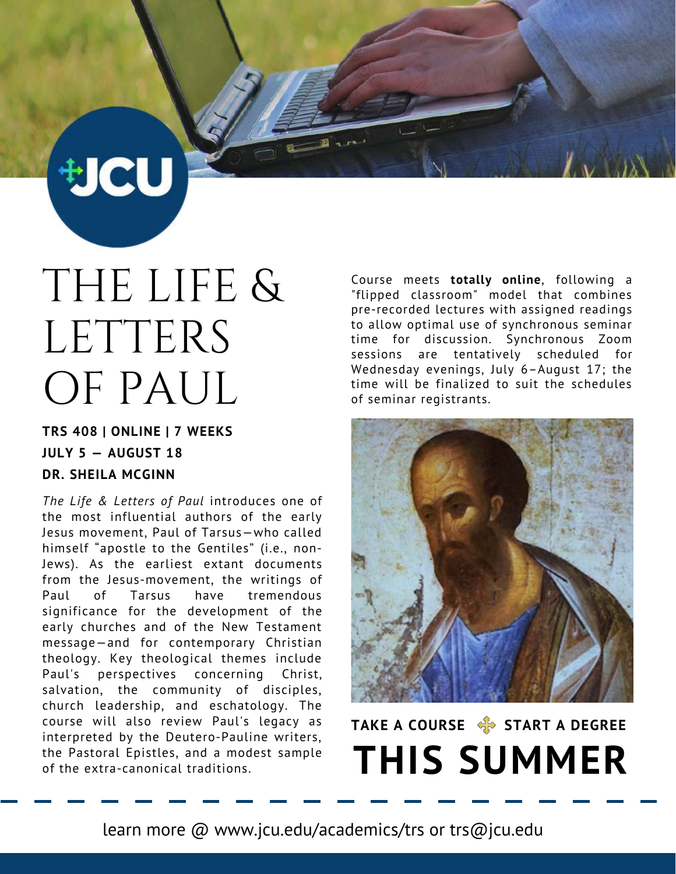THE LIFE & LETTERS OF PAUL

**切CU** 

#### **TRS 408 | ONLINE | 7 WEEKS JULY 5 — AUGUST 18 DR. SHEILA MCGINN**

*The Life & Letters of Paul* introduces one of the most influential authors of the early Jesus movement, Paul of Tarsus—who called himself "apostle to the Gentiles" (i.e., non-Jews). As the earliest extant documents from the Jesus-movement, the writings of Paul of Tarsus have tremendous significance for the development of the early churches and of the New Testament message—and for contemporary Christian theology. Key theological themes include Paul's perspectives concerning Christ, salvation, the community of disciples, church leadership, and eschatology. The course will also review Paul's legacy as interpreted by the Deutero-Pauline writers, the Pastoral Epistles, and a modest sample of the extra-canonical traditions.

Course meets **totally online**, following a "flipped classroom" model that combines pre-recorded lectures with assigned readings to allow optimal use of synchronous seminar time for discussion. Synchronous Zoom sessions are tentatively scheduled for Wednesday evenings, July 6–August 17; the time will be finalized to suit the schedules of seminar registrants.



## **TAKE A COURSE START A DEGREE THIS SUMMER**

learn more @ www.jcu.edu/academics/trs or trs@jcu.edu